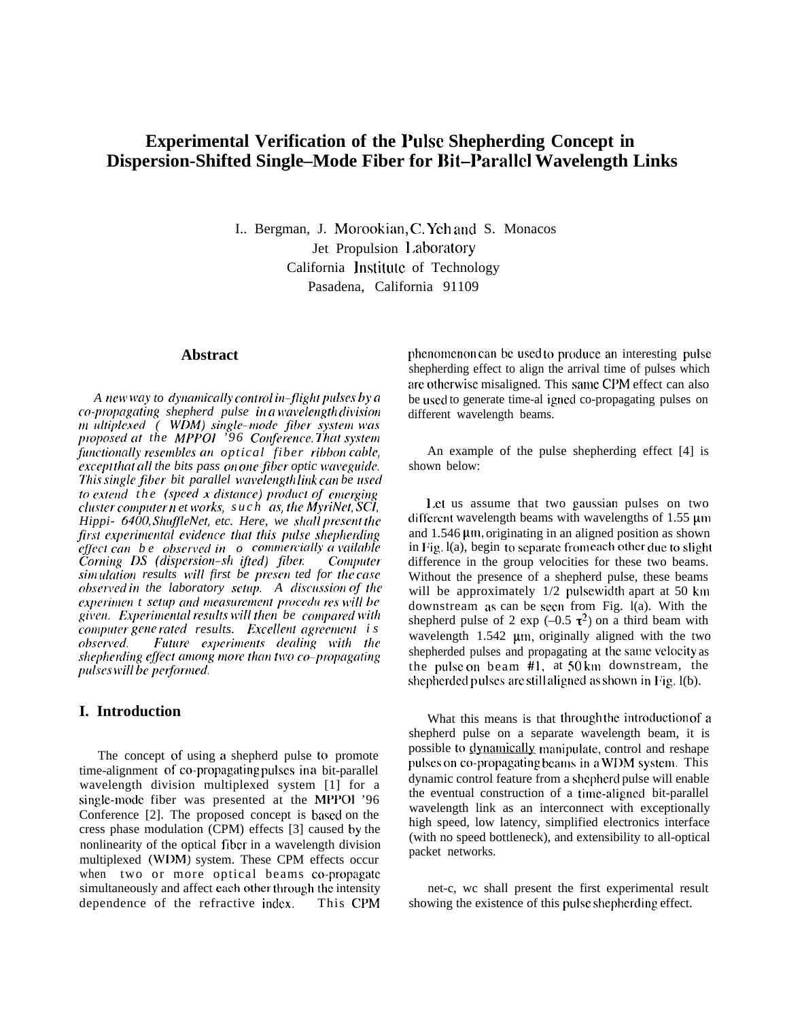# **Experimental Verification of the Pulse Shepherding Concept in** Dispersion-Shifted Single-Mode Fiber for Bit-Parallel Wavelength Links

I.. Bergman, J. Morookian, C. Yeh and S. Monacos Jet Propulsion Laboratory California Institute of Technology Pasadena. California 91109

#### **Abstract**

A new way to dynamically control in-flight pulses by a co-propagating shepherd pulse in a wavelength division m ultiplexed ( WDM) single-mode fiber system was proposed at the MPPOI '96 Conference That system functionally resembles an optical fiber ribbon cable, except that all the bits pass on one fiber optic waveguide. This single fiber bit parallel wavelength link can be used to extend the (speed x distance) product of emerging cluster computer n et works, such as, the MyriNet, SCI, Hippi- 6400, ShuffleNet, etc. Here, we shall present the first experimental evidence that this pulse shepherding effect can be observed in  $\rho$  commercially a vailable Corning DS (dispersion-sh ifted) fiber. Computer simulation results will first be presen ted for the case observed in the laboratory setup. A discussion of the experimen t setup and measurement procedures will be given. Experimental results will then be compared with computer gene rated results. Excellent agreement is observed. Future experiments dealing with the shepherding effect among more than two co-propagating pulses will be performed.

# I. Introduction

The concept of using a shepherd pulse to promote time-alignment of co-propagating pulses in a bit-parallel wavelength division multiplexed system [1] for a single-mode fiber was presented at the MPPOI '96 Conference [2]. The proposed concept is based on the cress phase modulation (CPM) effects [3] caused by the nonlinearity of the optical fiber in a wavelength division multiplexed (WDM) system. These CPM effects occur when two or more optical beams co-propagate simultaneously and affect each other through the intensity dependence of the refractive index. This CPM

phenomenon can be used to produce an interesting pulse shepherding effect to align the arrival time of pulses which are otherwise misaligned. This same CPM effect can also be used to generate time-al igned co-propagating pulses on different wavelength beams.

An example of the pulse shepherding effect [4] is shown below:

Let us assume that two gaussian pulses on two different wavelength beams with wavelengths of 1.55 um and  $1.546 \mu m$ , originating in an aligned position as shown in Fig. 1(a), begin to separate from each other due to slight difference in the group velocities for these two beams. Without the presence of a shepherd pulse, these beams will be approximately 1/2 pulsewidth apart at 50 km downstream as can be seen from Fig.  $I(a)$ . With the shepherd pulse of 2 exp (-0.5  $\tau^2$ ) on a third beam with wavelength 1.542 um, originally aligned with the two shepherded pulses and propagating at the same velocity as the pulse on beam #1, at 50km downstream, the shepherded pulses are still aligned as shown in Fig. 1(b).

What this means is that through the introduction of a shepherd pulse on a separate wavelength beam, it is possible to dynamically manipulate, control and reshape pulses on co-propagating beams in a WDM system. This dynamic control feature from a shepherd pulse will enable the eventual construction of a time-aligned bit-parallel wavelength link as an interconnect with exceptionally high speed, low latency, simplified electronics interface (with no speed bottleneck), and extensibility to all-optical packet networks.

net-c, we shall present the first experimental result showing the existence of this pulse shepherding effect.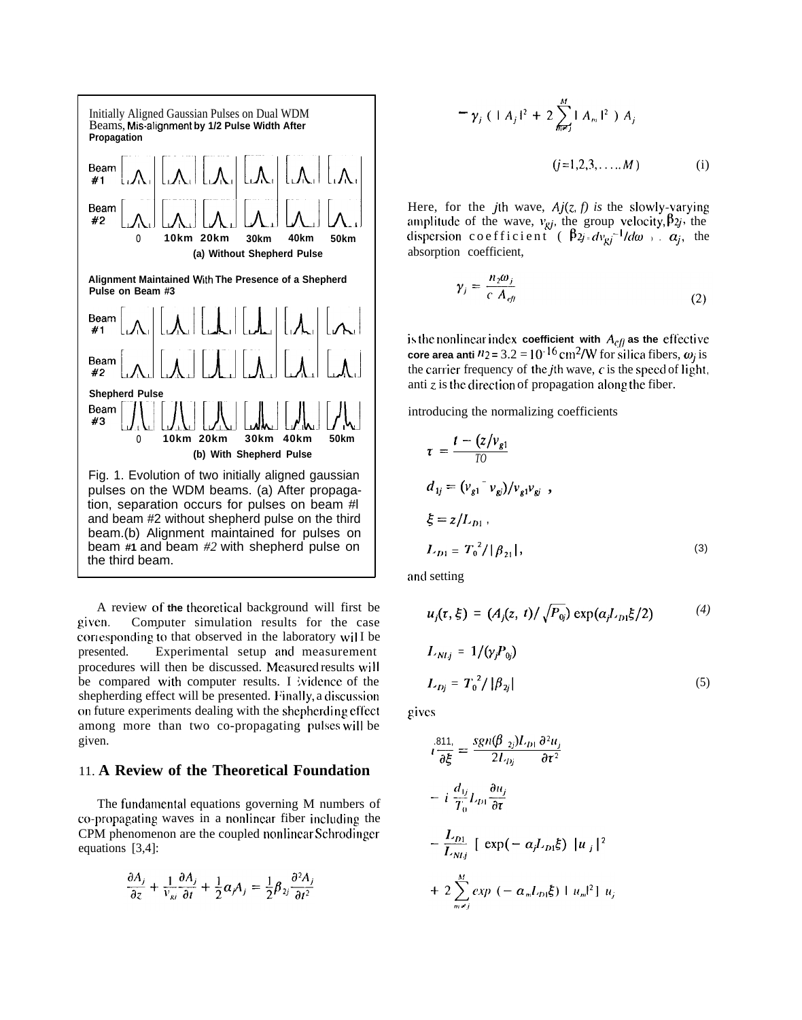

A review of **the theoreticxil** background will first be given. Computer simulation results for the case corresponding to that observed in the laboratory wil I be presented. Experimental setup and measurement Experimental setup and measurement procedures will then be discussed. Measured results will be compared with computer results. I ividence of the shepherding effect will be presented. Finally, a discussion on future experiments dealing with the shepherding effect among more than two co-propagating pulses will be given.

### 11. **A Review of the Theoretical Foundation**

The fundamental equations governing M numbers of co-propagating waves in a noniincar fiber inciuciing the CPM phenomenon are the coupled nonlinear Schrodinger equations [3,4]:

$$
\frac{\partial A_j}{\partial z} + \frac{1}{v_{ki}} \frac{\partial A_j}{\partial t} + \frac{1}{2} \alpha_j A_j = \frac{1}{2} \beta_{2j} \frac{\partial^2 A_j}{\partial t^2}
$$

$$
-\gamma_j \ ( \ | \ A_j \ |^2 + 2 \sum_{m=1}^M | \ A_m \ |^2 \ ) \ A_j
$$
  
(j=1,2,3,...,M) (i)

Here, for the *j*th wave,  $Aj(z, f)$  is the slowly-varying amplitude of the wave,  $v_{gi}$ , the group velocity,  $\beta_{2j}$ , the dispersion coefficient ( $\beta_{2j} = dv_{qi}^{-1}/d\omega$ ,  $\alpha_j$ , the absorption coefficient,

$$
\gamma_j = \frac{n_2 \omega_j}{c \; A_{\text{eff}}} \tag{2}
$$

**is the nonlinear index coefficient with**  $A_{eff}$  as the effective **core area anti**  $n_2 = 3.2 = 10^{-16} \text{cm}^2/\text{W}$  for silica fibers,  $\omega_i$  is the carrier frequency of the *j*th wave,  $c$  is the speed of light, anti  $z$  is the direction of propagation along the fiber.

introducing the normalizing coefficients

$$
\tau = \frac{t - (z/v_{g1})}{T0}
$$
  
\n
$$
d_{1j} = (v_{g1} - v_{gj})/v_{g1}v_{gj} ,
$$
  
\n
$$
\xi = z/L_{D1} ,
$$
  
\n
$$
L_{D1} = T_0^2 / |\beta_{21}|,
$$
\n(3)

and setting

$$
u_j(\tau, \xi) = (A_j(z, t) / \sqrt{P_{0j}}) \exp(\alpha_j L_{D1} \xi / 2)
$$
 (4)  

$$
L_{N1j} = 1 / (\gamma_j P_{0j})
$$

$$
L_{Dj} = T_0^2 / |\beta_{2j}| \tag{5}
$$

gives

$$
i\frac{811}{\partial \xi} = \frac{sgn(\beta_{2j})L_{D1} \partial^2 u_j}{2L_{Dj} \partial \tau^2}
$$
  
- 
$$
i\frac{d_{1j}}{T_0}L_{D1} \frac{\partial u_j}{\partial \tau}
$$
  
- 
$$
\frac{L_{D1}}{L_{N1j}} [\exp(-\alpha_j L_{D1} \xi) |u_j|^2
$$
  
+ 
$$
2\sum_{m=1}^{M} exp(-\alpha_m L_{D1} \xi) |u_m|^2] u_j
$$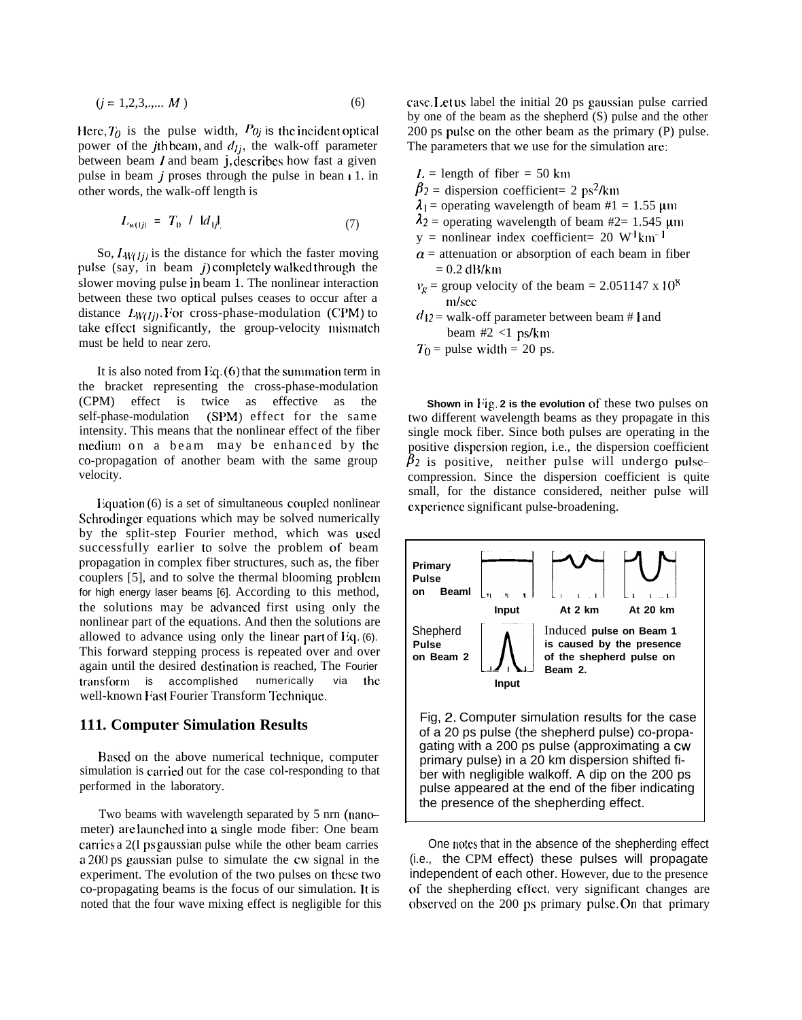$$
(j = 1, 2, 3, \dots, M) \tag{6}
$$

Here,  $T_0$  is the pulse width,  $P_{0j}$  is the incident optical power of the *j*th beam, and  $d_{ij}$ , the walk-off parameter between beam  *and beam*  $j$ *, describes how fast a given* pulse in beam  $j$  proses through the pulse in bean  $i$  1. in other words, the walk-off length is

$$
L_{w(1j)} = T_0 / |d_{1j}| \tag{7}
$$

So,  $L_{W(li)}$  is the distance for which the faster moving pulse (say, in beam j) completely walked through the slower moving pulse in beam 1. The nonlinear interaction between these two optical pulses ceases to occur after a distance  $I_{W(Ij)}$ . For cross-phase-modulation (CPM) to take effect significantly, the group-velocity mismatch must be held to near zero.

It is also noted from Eq.  $(6)$  that the summation term in the bracket representing the cross-phase-modulation (CPM) effect is twice as effective as the self-phase-modulation (SPM) effect for the same intensity. This means that the nonlinear effect of the fiber meclium on a beam may be enhanced by the co-propagation of another beam with the same group velocity.

Equation  $(6)$  is a set of simultaneous coupled nonlinear Schrodinger equations which may be solved numerically by the split-step Fourier method, which was used successfully earlier to solve the problem of beam propagation in complex fiber structures, such as, the fiber couplers [5], and to solve the thermal blooming problem for high energy laser beams [6]. According to this method, the solutions may be advanced first using only the nonlinear part of the equations. And then the solutions are allowed to advance using only the linear part of Eq.  $(6)$ . This forward stepping process is repeated over and over again until the desired destination is reached. The Fourier transform is accomplished numerically via the well-known Fast Fourier Transform Technique.

#### **111. Computer Simulation Results**

Based on the above numerical technique, computer simulation is carried out for the case col-responding to that performed in the laboratory.

Two beams with wavelength separated by 5 nrn (nanometer) are launched into a single mode fiber: One beam carries a 2(I ps gaussian pulse while the other beam carries a 200 ps gaussian pulse to simulate the cw signal in the experiment. The evolution of the two pulses on these two co-propagating beams is the focus of our simulation. It is noted that the four wave mixing effect is negligible for this case. Let us label the initial 20 ps gaussian pulse carried by one of the beam as the shepherd (S) pulse and the other  $200$  ps pulse on the other beam as the primary (P) pulse. The parameters that we use for the simulation arc:

- $L =$  length of fiber = 50 km
- $\beta_2$  = dispersion coefficient= 2 ps<sup>2</sup>/km
- $\lambda_1$  = operating wavelength of beam #1 = 1.55 µm
- $\lambda_2$  = operating wavelength of beam #2= 1.545 µm
- $y =$  nonlinear index coefficient= 20 W<sup>-1</sup>km<sup>-1</sup>
- $\alpha$  = attenuation or absorption of each beam in fiber  $= 0.2$  dB/km
- $v_e$  = group velocity of the beam = 2.051147 x 10<sup>8</sup> mlsec
- $d_{12}$  = walk-off parameter between beam # 1 and beam #2 <1 ps/km
- $T_0$  = pulse width = 20 ps.

**Shown in Fig. 2 is the evolution** of these two pulses on two different wavelength beams as they propagate in this single mock fiber. Since both pulses are operating in the positive dispersion region, i.e., the dispersion coefficient  $\beta_2$  is positive, neither pulse will undergo pulsecompression. Since the dispersion coefficient is quite small, for the distance considered, neither pulse will cxpcricnce significant pulse-broadening.



One notes that in the absence of the shepherding effect (i.e., the CPM effect) these pulses will propagate independent of each other. However, due to the presence of the shepherding effect, very significant changes are observed on the 200 ps primary pulse. On that primary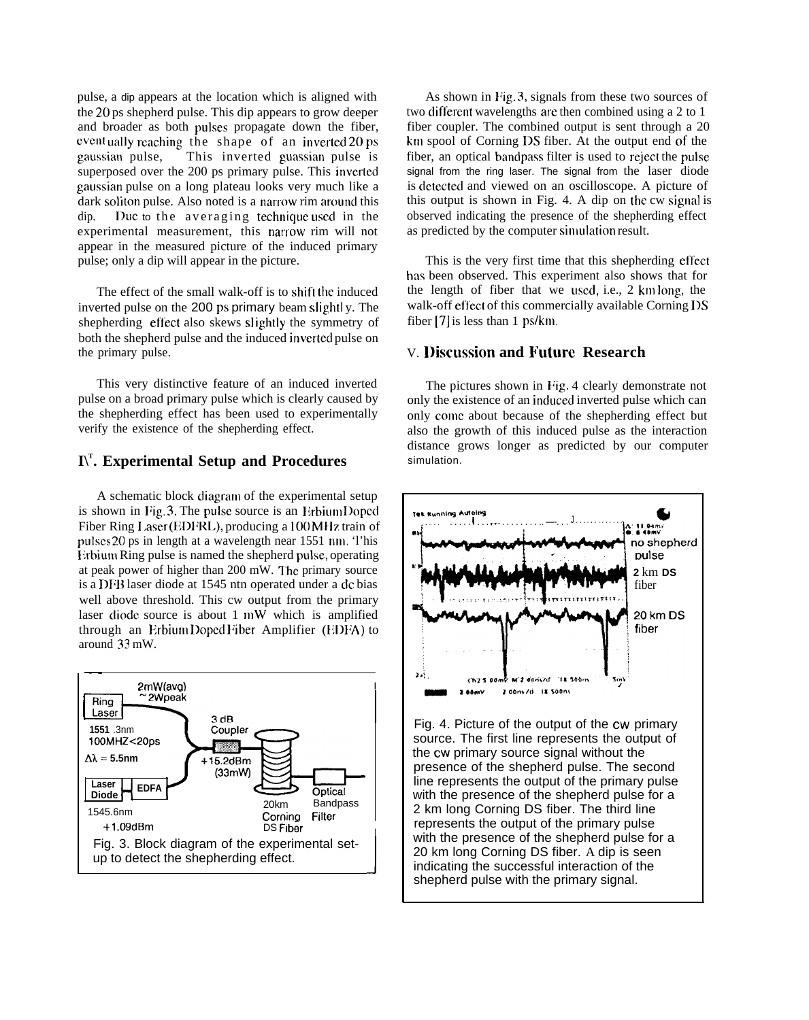pulse, a dip appears at the location which is aligned with the 20 ps shepherd pulse. This dip appears to grow deeper and broader as both pulses propagate down the fiber, eventually reaching the shape of an inverted 20 ps gaussian pulse, This inverted guassian pulse is superposed over the 200 ps primary pulse. This inverted gaussian pulse on a long plateau looks very much like a dark soliton pulse. Also noted is a narrow rim around this dip. Due to the averaging technique used in the experimental measurement, this narrow rim will not appear in the measured picture of the induced primary pulse; only a dip will appear in the picture.

The effect of the small walk-off is to shift the induced inverted pulse on the 200 ps primary beam slightly. The shepherding effect also skews slightly the symmetry of both the shepherd pulse and the induced inverted pulse on the primary pulse.

This very distinctive feature of an induced inverted pulse on a broad primary pulse which is clearly caused by the shepherding effect has been used to experimentally verify the existence of the shepherding effect.

# **I\T . Experimental Setup and Procedures**

A schematic block diagram of the experimental setup is shown in Fig.  $3$ . The pulse source is an Erbium Doped Fiber Ring Laser (EDFRL), producing a 100 MHz train of pulses 20 ps in length at a wavelength near 1551 nm. This Erbium Ring pulse is named the shepherd pulse, operating at peak power of higher than 200 mW. I'he primary source is a DFB laser diode at 1545 ntn operated under a dc bias well above threshold. This cw output from the primary laser diode source is about  $1 \text{ mW}$  which is amplified through an Erbium Doped Fiber Amplifier (EDFA) to around 33 mW.



As shown in Fig. 3, signals from these two sources of two diflerent wavelengths are then combined using a 2 to 1 fiber coupler. The combined output is sent through a 20 km spool of Corning DS fiber. At the output end of the fiber, an optical bandpass filter is used to reject the pulse signal from the ring laser. The signal from the laser diode is detected and viewed on an oscilloscope. A picture of this output is shown in Fig. 4. A dip on the cw signal is observed indicating the presence of the shepherding effect as predicted by the computer simulation result.

This is the very first time that this shepherding effect has been observed. This experiment also shows that for the length of fiber that we used, i.e.,  $2 \text{ km}$  long, the walk-off effect of this commercially available Corning DS fiber  $[7]$  is less than 1 ps/km.

## V. **I)iscussion and Future Research**

The pictures shown in Fig. 4 clearly demonstrate not only the existence of an induced inverted pulse which can only come about because of the shepherding effect but also the growth of this induced pulse as the interaction distance grows longer as predicted by our computer simulation.



Fig. 4. Picture of the output of the cw primary source. The first line represents the output of the cw primary source signal without the presence of the shepherd pulse. The second line represents the output of the primary pulse with the presence of the shepherd pulse for a 2 km long Corning DS fiber. The third line represents the output of the primary pulse with the presence of the shepherd pulse for a 20 km long Corning DS fiber. A dip is seen indicating the successful interaction of the shepherd pulse with the primary signal.